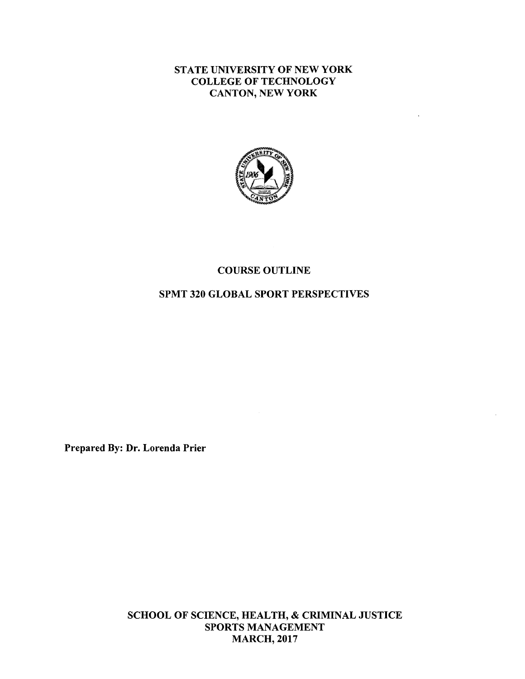## STATE UNIVERSITY OF NEW YORK COLLEGE OF TECHNOLOGY CANTON, NEW YORK



#### COURSE OUTLINE

#### SPMT 320 GLOBAL SPORT PERSPECTIVES

Prepared By: Dr. Lorenda Prier

SCHOOL OF SCIENCE, HEALTH, & CRIMINAL JUSTICE SPORTS MANAGEMENT MARCH, 2017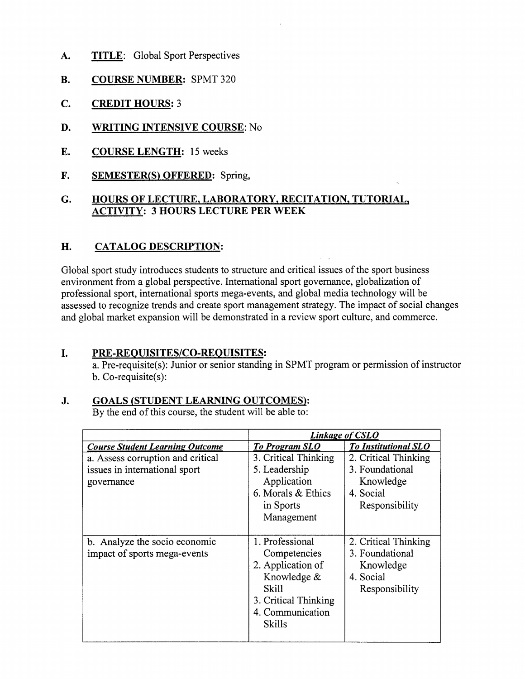- **A. TITLE:** Global Sport Perspectives
- **B. COURSE NUMBER:** SPMT 320
- **C. CREDIT HOURS:** 3
- **D. WRITING INTENSIVE COURSE:** No
- E. **COURSE LENGTH:** 15 weeks
- **F. SEMESTER(S) OFFERED:** Spring,

# **G. HOURS OF LECTURE, LABORATORY, RECITATION, TUTORIAL, ACTIVITY: 3 HOURS LECTURE PER WEEK**

# **H. CATALOG DESCRIPTION:**

Global sport study introduces students to structure and critical issues of the sport business environment from a global perspective. International sport governance, globalization of professional sport, international sports mega-events, and global media technology will be assessed to recognize trends and create sport management strategy. The impact of social changes and global market expansion will be demonstrated in a review sport culture, and commerce.

## I. **PRE-REQUISITES/CO-REQUISITES:**

a. Pre-requisite(s): Junior or senior standing in SPMT program or permission of instructor b. Co-requisite(s):

## **J. GOALS (STUDENT LEARNING OUTCOMES}:**

By the end of this course, the student will be able to:

|                                                                                  | <b>Linkage of CSLO</b>                                                                                                                    |                                                                                     |
|----------------------------------------------------------------------------------|-------------------------------------------------------------------------------------------------------------------------------------------|-------------------------------------------------------------------------------------|
| <b>Course Student Learning Outcome</b>                                           | <b>To Program SLO</b>                                                                                                                     | <b>To Institutional SLO</b>                                                         |
| a. Assess corruption and critical<br>issues in international sport<br>governance | 3. Critical Thinking<br>5. Leadership<br>Application<br>6. Morals & Ethics<br>in Sports<br>Management                                     | 2. Critical Thinking<br>3. Foundational<br>Knowledge<br>4. Social<br>Responsibility |
| b. Analyze the socio economic<br>impact of sports mega-events                    | 1. Professional<br>Competencies<br>2. Application of<br>Knowledge &<br>Skill<br>3. Critical Thinking<br>4. Communication<br><b>Skills</b> | 2. Critical Thinking<br>3. Foundational<br>Knowledge<br>4. Social<br>Responsibility |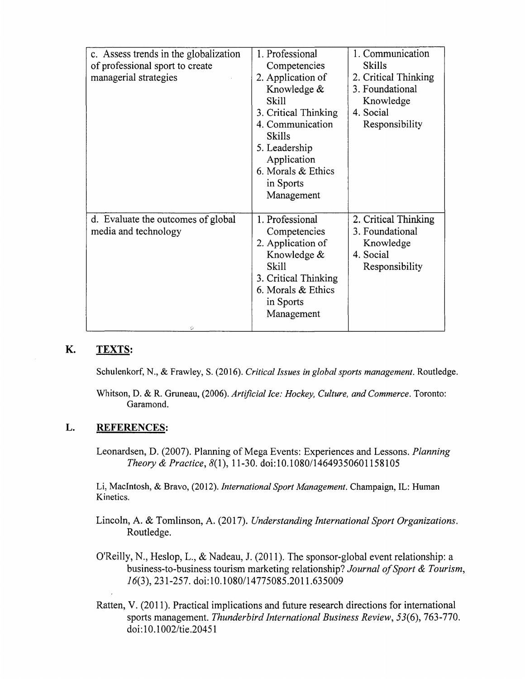| c. Assess trends in the globalization | 1. Professional      | 1. Communication     |
|---------------------------------------|----------------------|----------------------|
| of professional sport to create       | Competencies         | <b>Skills</b>        |
| managerial strategies                 | 2. Application of    | 2. Critical Thinking |
|                                       | Knowledge &          | 3. Foundational      |
|                                       | <b>Skill</b>         | Knowledge            |
|                                       | 3. Critical Thinking | 4. Social            |
|                                       | 4. Communication     | Responsibility       |
|                                       | <b>Skills</b>        |                      |
|                                       | 5. Leadership        |                      |
|                                       | Application          |                      |
|                                       | 6. Morals & Ethics   |                      |
|                                       | in Sports            |                      |
|                                       | Management           |                      |
|                                       |                      |                      |
| d. Evaluate the outcomes of global    | 1. Professional      | 2. Critical Thinking |
| media and technology                  | Competencies         | 3. Foundational      |
|                                       | 2. Application of    | Knowledge            |
|                                       | Knowledge &          | 4. Social            |
|                                       | Skill                | Responsibility       |
|                                       | 3. Critical Thinking |                      |
|                                       | 6. Morals & Ethics   |                      |
|                                       | in Sports            |                      |
|                                       | Management           |                      |
| o                                     |                      |                      |

# **K. TEXTS:**

Schulenkorf, N., & Frawley, S. (2016). *Critical Issues in global sports management.* Routledge.

Whitson, D. & R. Gruneau, (2006). *Artificial Ice: Hockey, Culture, and Commerce.* Toronto: Garamond.

#### **L. REFERENCES:**

Leonardsen, D. (2007). Planning of Mega Events: Experiences and Lessons. *Planning Theory & Practice,* 8(1), 11-30. doi:10.1080/14649350601158105

Li, MacIntosh, & Bravo, (2012). *International Sport Management.* Champaign, IL: Human Kinetics.

- Lincoln, A. & Tomlinson, A. (2017). *Understanding International Sport Organizations.*  Routledge.
- O'Reilly, N., Heslop, L., & Nadeau, J. (2011 ). The sponsor-global event relationship: a business-to-business tourism marketing relationship? *Journal of Sport & Tourism,*  16(3),231-257. doi:10.1080/14775085.201 l.635009
- Ratten, V. (2011). Practical implications and future research directions for international sports management. *Thunderbird International Business Review, 53(6),* 763-770. doi: 10.1002/tie.20451